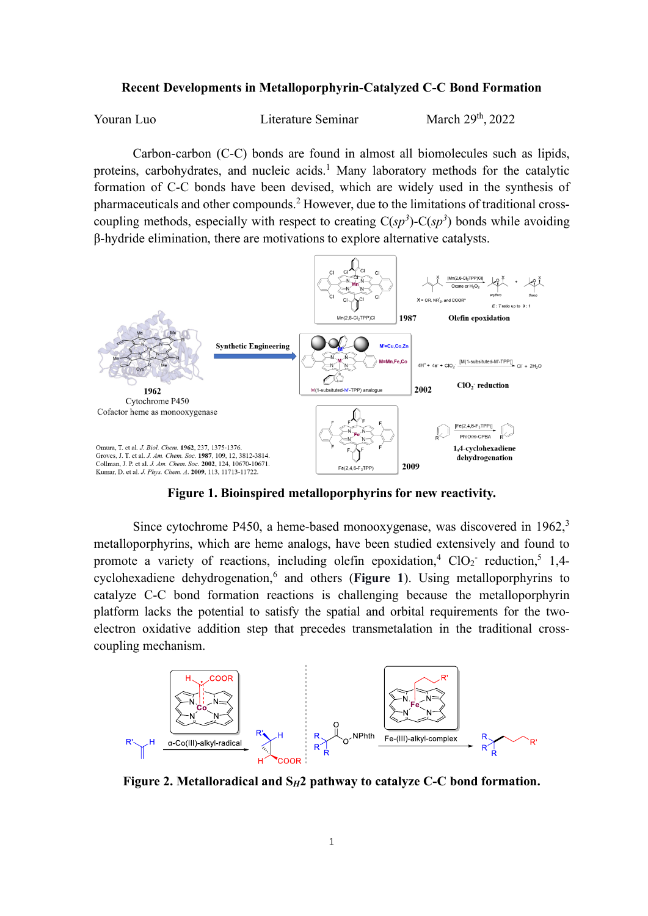## **Recent Developments in Metalloporphyrin-Catalyzed C-C Bond Formation**

Youran Luo Literature Seminar

March 29<sup>th</sup>, 2022

Carbon-carbon (C-C) bonds are found in almost all biomolecules such as lipids, proteins, carbohydrates, and nucleic acids.<sup>1</sup> Many laboratory methods for the catalytic formation of C-C bonds have been devised, which are widely used in the synthesis of pharmaceuticals and other compounds.<sup>2</sup> However, due to the limitations of traditional crosscoupling methods, especially with respect to creating  $C(sp^3)$ - $C(sp^3)$  bonds while avoiding β-hydride elimination, there are motivations to explore alternative catalysts.



**Figure 1. Bioinspired metalloporphyrins for new reactivity.**

Since cytochrome P450, a heme-based monooxygenase, was discovered in 1962,<sup>3</sup> metalloporphyrins, which are heme analogs, have been studied extensively and found to promote a variety of reactions, including olefin epoxidation,<sup>4</sup> ClO<sub>2</sub> reduction,<sup>5</sup> 1,4cyclohexadiene dehydrogenation, 6 and others (**Figure 1**). Using metalloporphyrins to catalyze C-C bond formation reactions is challenging because the metalloporphyrin platform lacks the potential to satisfy the spatial and orbital requirements for the twoelectron oxidative addition step that precedes transmetalation in the traditional crosscoupling mechanism.



**Figure 2. Metalloradical and S***H***2 pathway to catalyze C-C bond formation.**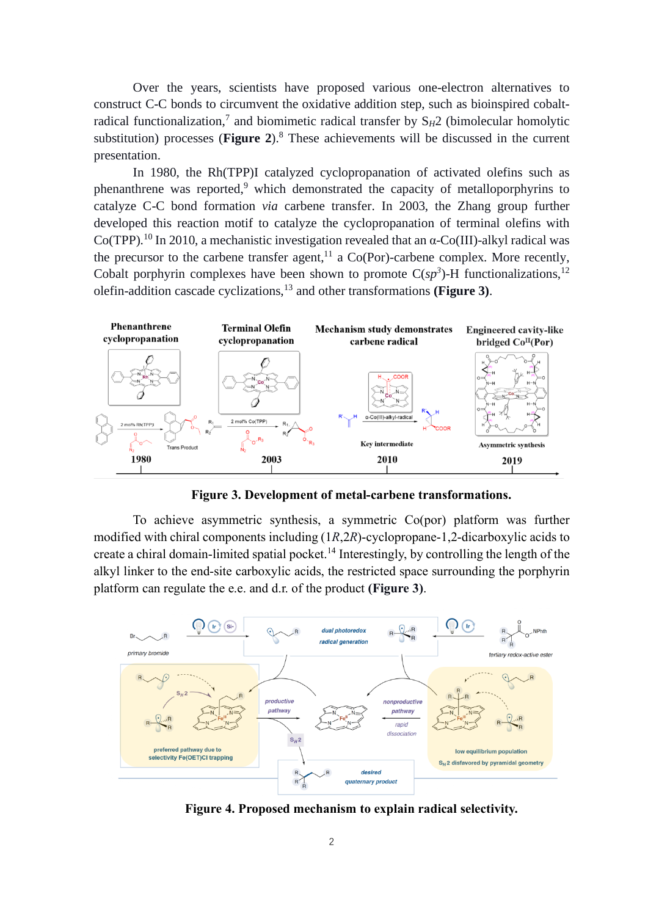Over the years, scientists have proposed various one-electron alternatives to construct C-C bonds to circumvent the oxidative addition step, such as bioinspired cobaltradical functionalization,<sup>7</sup> and biomimetic radical transfer by S<sub>H</sub>2 (bimolecular homolytic substitution) processes (**Figure 2**).<sup>8</sup> These achievements will be discussed in the current presentation.

In 1980, the Rh(TPP)I catalyzed cyclopropanation of activated olefins such as phenanthrene was reported,<sup>9</sup> which demonstrated the capacity of metalloporphyrins to catalyze C-C bond formation *via* carbene transfer. In 2003, the Zhang group further developed this reaction motif to catalyze the cyclopropanation of terminal olefins with Co(TPP).<sup>10</sup> In 2010, a mechanistic investigation revealed that an  $\alpha$ -Co(III)-alkyl radical was the precursor to the carbene transfer agent,<sup>11</sup> a Co(Por)-carbene complex. More recently, Cobalt porphyrin complexes have been shown to promote  $C(sp^3)$ -H functionalizations,<sup>12</sup> olefin-addition cascade cyclizations, <sup>13</sup> and other transformations **(Figure 3)**.



**Figure 3. Development of metal-carbene transformations.**

To achieve asymmetric synthesis, a symmetric Co(por) platform was further modified with chiral components including (1*R*,2*R*)-cyclopropane-1,2-dicarboxylic acids to create a chiral domain-limited spatial pocket.<sup>14</sup> Interestingly, by controlling the length of the alkyl linker to the end-site carboxylic acids, the restricted space surrounding the porphyrin platform can regulate the e.e. and d.r. of the product **(Figure 3)**.



**Figure 4. Proposed mechanism to explain radical selectivity.**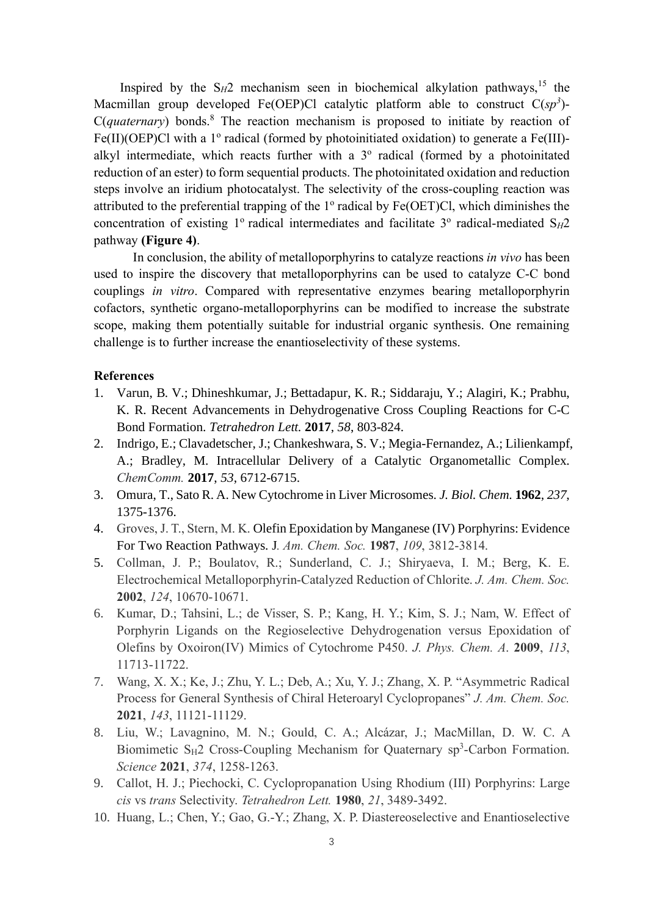Inspired by the  $S_H2$  mechanism seen in biochemical alkylation pathways,<sup>15</sup> the Macmillan group developed Fe(OEP)Cl catalytic platform able to construct C(*sp<sup>3</sup>* )- C(*quaternary*) bonds. <sup>8</sup> The reaction mechanism is proposed to initiate by reaction of Fe(II)(OEP)Cl with a 1° radical (formed by photoinitiated oxidation) to generate a Fe(III)alkyl intermediate, which reacts further with a 3° radical (formed by a photoinitated reduction of an ester) to form sequential products. The photoinitated oxidation and reduction steps involve an iridium photocatalyst. The selectivity of the cross-coupling reaction was attributed to the preferential trapping of the  $1^{\circ}$  radical by Fe(OET)Cl, which diminishes the concentration of existing 1° radical intermediates and facilitate 3° radical-mediated  $S_H 2$ pathway **(Figure 4)**.

In conclusion, the ability of metalloporphyrins to catalyze reactions *in vivo* has been used to inspire the discovery that metalloporphyrins can be used to catalyze C-C bond couplings *in vitro*. Compared with representative enzymes bearing metalloporphyrin cofactors, synthetic organo-metalloporphyrins can be modified to increase the substrate scope, making them potentially suitable for industrial organic synthesis. One remaining challenge is to further increase the enantioselectivity of these systems.

## **References**

- 1. Varun, B. V.; Dhineshkumar, J.; Bettadapur, K. R.; Siddaraju, Y.; Alagiri, K.; Prabhu, K. R. Recent Advancements in Dehydrogenative Cross Coupling Reactions for C-C Bond Formation. *Tetrahedron Lett.* **2017**, *58*, 803-824.
- 2. Indrigo, E.; Clavadetscher, J.; Chankeshwara, S. V.; Megia-Fernandez, A.; Lilienkampf, A.; Bradley, M. Intracellular Delivery of a Catalytic Organometallic Complex. *ChemComm.* **2017**, *53*, 6712-6715.
- 3. Omura, T., Sato R. A. New Cytochrome in Liver Microsomes. *J. Biol. Chem.* **1962**, *237*, 1375-1376.
- 4. Groves, J. T., Stern, M. K. Olefin Epoxidation by Manganese (IV) Porphyrins: Evidence For Two Reaction Pathways. J*. Am. Chem. Soc.* **1987**, *109*, 3812-3814.
- 5. Collman, J. P.; Boulatov, R.; Sunderland, C. J.; Shiryaeva, I. M.; Berg, K. E. Electrochemical Metalloporphyrin-Catalyzed Reduction of Chlorite. *J. Am. Chem. Soc.* **2002**, *124*, 10670-10671.
- 6. Kumar, D.; Tahsini, L.; de Visser, S. P.; Kang, H. Y.; Kim, S. J.; Nam, W. Effect of Porphyrin Ligands on the Regioselective Dehydrogenation versus Epoxidation of Olefins by Oxoiron(IV) Mimics of Cytochrome P450. *J. Phys. Chem. A*. **2009**, *113*, 11713-11722.
- 7. Wang, X. X.; Ke, J.; Zhu, Y. L.; Deb, A.; Xu, Y. J.; Zhang, X. P. "Asymmetric Radical Process for General Synthesis of Chiral Heteroaryl Cyclopropanes" *J. Am. Chem. Soc.* **2021**, *143*, 11121-11129.
- 8. Liu, W.; Lavagnino, M. N.; Gould, C. A.; Alcázar, J.; MacMillan, D. W. C. A Biomimetic S<sub>H</sub>2 Cross-Coupling Mechanism for Quaternary sp<sup>3</sup>-Carbon Formation. *Science* **2021**, *374*, 1258-1263.
- 9. Callot, H. J.; Piechocki, C. Cyclopropanation Using Rhodium (III) Porphyrins: Large *cis* vs *trans* Selectivity. *Tetrahedron Lett.* **1980**, *21*, 3489-3492.
- 10. Huang, L.; Chen, Y.; Gao, G.-Y.; Zhang, X. P. Diastereoselective and Enantioselective